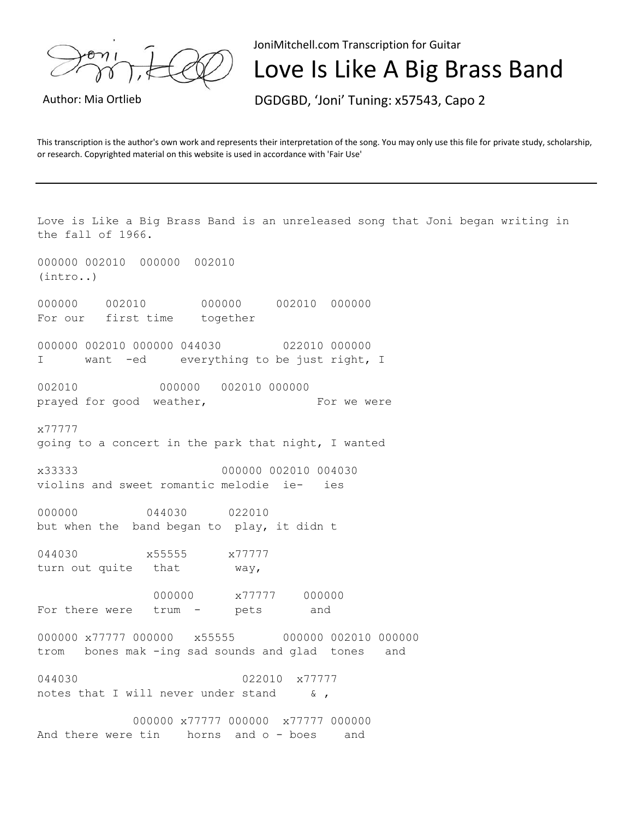

JoniMitchell.com Transcription for Guitar

## Love Is Like A Big Brass Band

Author: Mia Ortlieb DGDGBD, 'Joni' Tuning: x57543, Capo 2

This transcription is the author's own work and represents their interpretation of the song. You may only use this file for private study, scholarship, or research. Copyrighted material on this website is used in accordance with 'Fair Use'

Love is Like a Big Brass Band is an unreleased song that Joni began writing in the fall of 1966. 000000 002010 000000 002010 (intro..) 000000 002010 000000 002010 000000 For our first time together 000000 002010 000000 044030 022010 000000 I want -ed everything to be just right, I 002010 000000 002010 000000 prayed for good weather, For we were x77777 going to a concert in the park that night, I wanted x33333 000000 002010 004030 violins and sweet romantic melodie ie- ies 000000 044030 022010 but when the band began to play, it didn t 044030 x55555 x77777 turn out quite that way, 000000 x77777 000000 For there were trum - pets and 000000 x77777 000000 x55555 000000 002010 000000 trom bones mak -ing sad sounds and glad tones and 044030 022010 x77777 notes that I will never under stand & , 000000 x77777 000000 x77777 000000 And there were tin borns and o - boes and